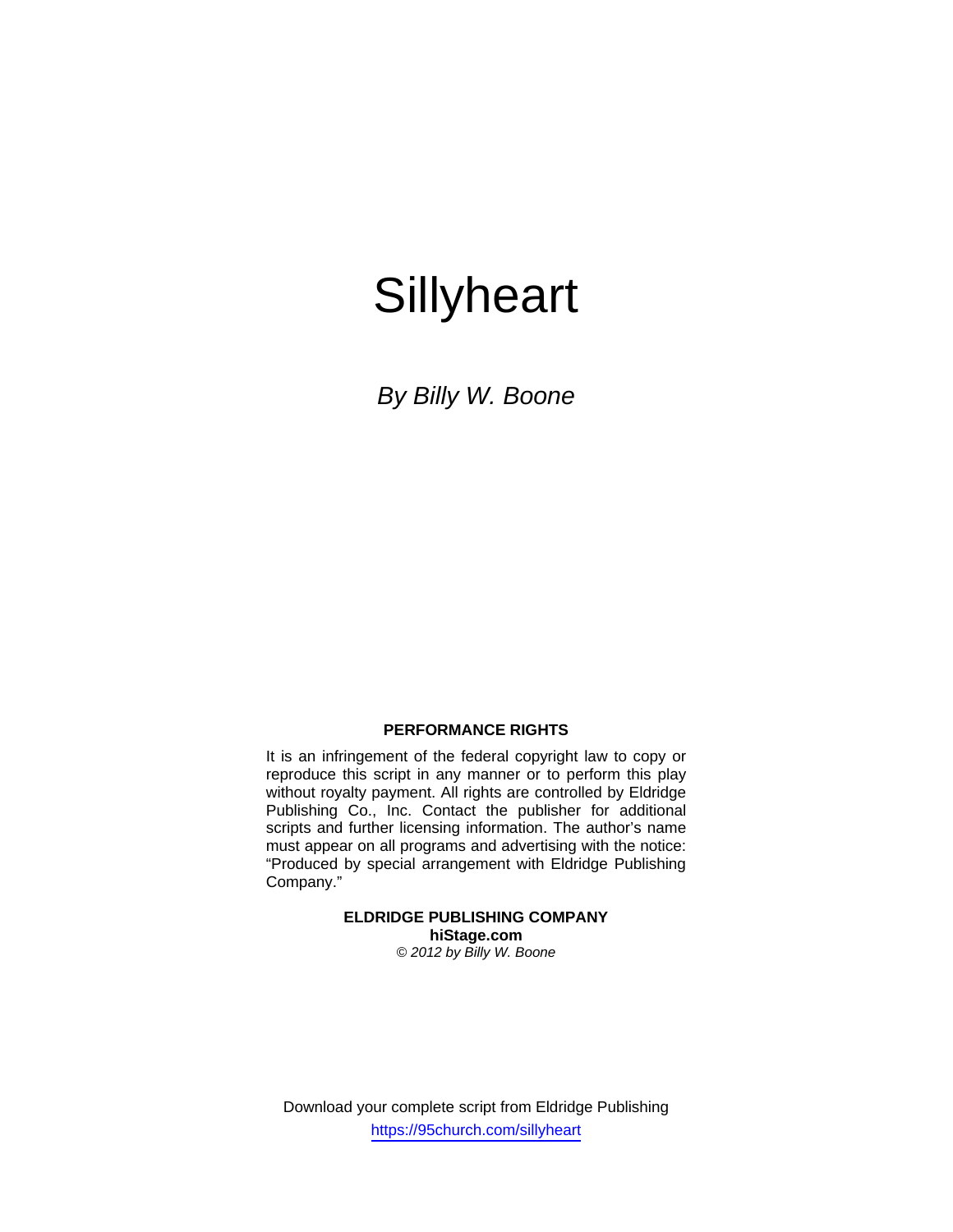# **Sillyheart**

*By Billy W. Boone* 

## **PERFORMANCE RIGHTS**

It is an infringement of the federal copyright law to copy or reproduce this script in any manner or to perform this play without royalty payment. All rights are controlled by Eldridge Publishing Co., Inc. Contact the publisher for additional scripts and further licensing information. The author's name must appear on all programs and advertising with the notice: "Produced by special arrangement with Eldridge Publishing Company."

> **ELDRIDGE PUBLISHING COMPANY hiStage.com**  *© 2012 by Billy W. Boone*

Download your complete script from Eldridge Publishing https://95church.com/sillyheart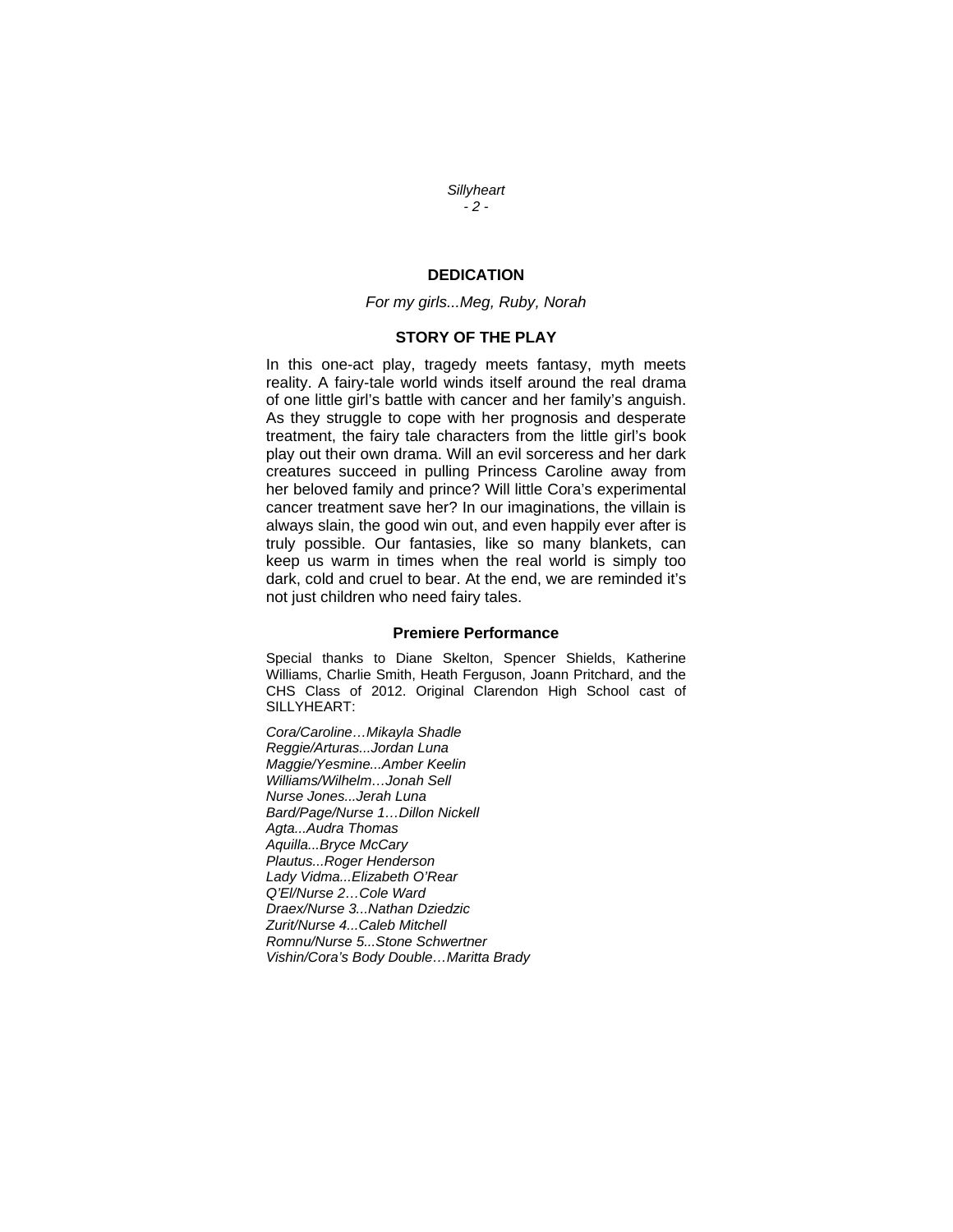*Sillyheart - 2 -* 

## **DEDICATION**

### *For my girls...Meg, Ruby, Norah*

## **STORY OF THE PLAY**

In this one-act play, tragedy meets fantasy, myth meets reality. A fairy-tale world winds itself around the real drama of one little girl's battle with cancer and her family's anguish. As they struggle to cope with her prognosis and desperate treatment, the fairy tale characters from the little girl's book play out their own drama. Will an evil sorceress and her dark creatures succeed in pulling Princess Caroline away from her beloved family and prince? Will little Cora's experimental cancer treatment save her? In our imaginations, the villain is always slain, the good win out, and even happily ever after is truly possible. Our fantasies, like so many blankets, can keep us warm in times when the real world is simply too dark, cold and cruel to bear. At the end, we are reminded it's not just children who need fairy tales.

#### **Premiere Performance**

Special thanks to Diane Skelton, Spencer Shields, Katherine Williams, Charlie Smith, Heath Ferguson, Joann Pritchard, and the CHS Class of 2012. Original Clarendon High School cast of SILLYHEART:

*Cora/Caroline…Mikayla Shadle Reggie/Arturas...Jordan Luna Maggie/Yesmine...Amber Keelin Williams/Wilhelm…Jonah Sell Nurse Jones...Jerah Luna Bard/Page/Nurse 1…Dillon Nickell Agta...Audra Thomas Aquilla...Bryce McCary Plautus...Roger Henderson Lady Vidma...Elizabeth O'Rear Q'El/Nurse 2…Cole Ward Draex/Nurse 3...Nathan Dziedzic Zurit/Nurse 4...Caleb Mitchell Romnu/Nurse 5...Stone Schwertner Vishin/Cora's Body Double…Maritta Brady*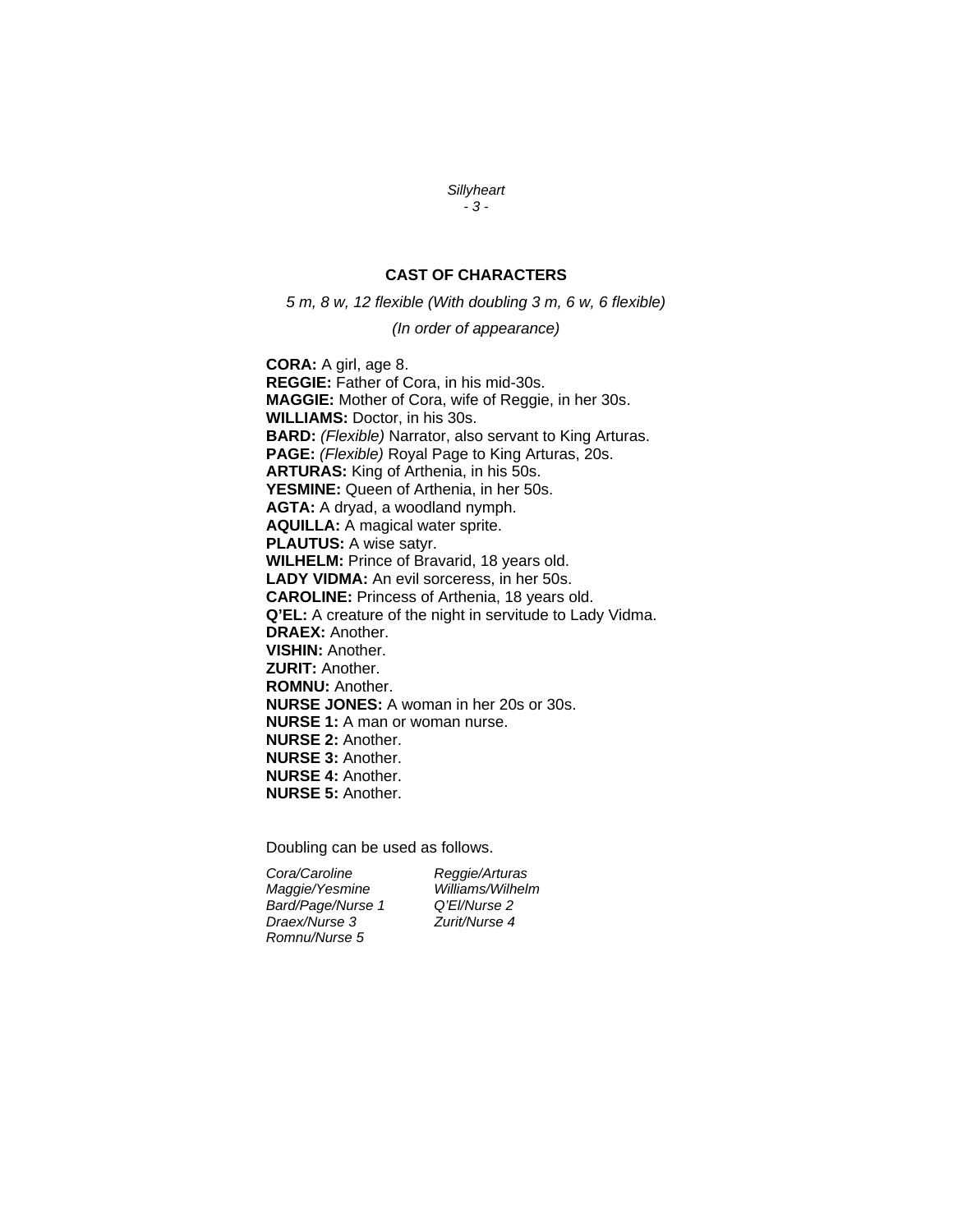#### *Sillyheart - 3 -*

## **CAST OF CHARACTERS**

*5 m, 8 w, 12 flexible (With doubling 3 m, 6 w, 6 flexible)* 

#### *(In order of appearance)*

**CORA:** A girl, age 8. **REGGIE:** Father of Cora, in his mid-30s. **MAGGIE:** Mother of Cora, wife of Reggie, in her 30s. **WILLIAMS:** Doctor, in his 30s. **BARD:** *(Flexible)* Narrator, also servant to King Arturas. **PAGE:** *(Flexible)* Royal Page to King Arturas, 20s. **ARTURAS:** King of Arthenia, in his 50s. **YESMINE:** Queen of Arthenia, in her 50s. **AGTA:** A dryad, a woodland nymph. **AQUILLA:** A magical water sprite. **PLAUTUS:** A wise satyr. **WILHELM:** Prince of Bravarid, 18 years old. **LADY VIDMA:** An evil sorceress, in her 50s. **CAROLINE:** Princess of Arthenia, 18 years old. **Q'EL:** A creature of the night in servitude to Lady Vidma. **DRAEX:** Another. **VISHIN:** Another. **ZURIT:** Another. **ROMNU:** Another. **NURSE JONES:** A woman in her 20s or 30s. **NURSE 1:** A man or woman nurse. **NURSE 2:** Another. **NURSE 3:** Another. **NURSE 4:** Another. **NURSE 5:** Another.

Doubling can be used as follows.

*Cora/Caroline Reggie/Arturas Maggie/Yesmine Bard/Page/Nurse 1 Q'El/Nurse 2 Draex/Nurse 3 Romnu/Nurse 5*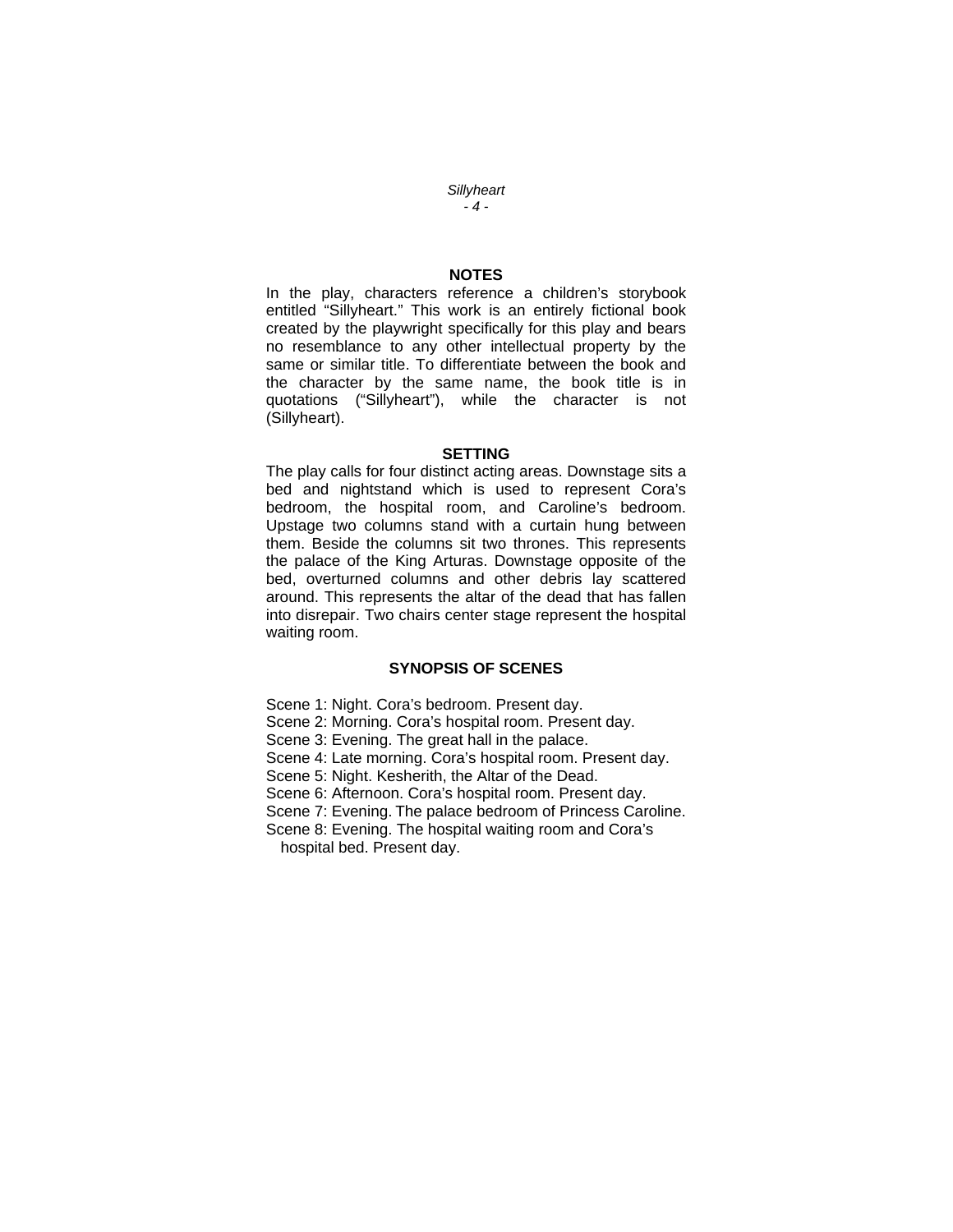*Sillyheart - 4 -* 

## **NOTES**

In the play, characters reference a children's storybook entitled "Sillyheart." This work is an entirely fictional book created by the playwright specifically for this play and bears no resemblance to any other intellectual property by the same or similar title. To differentiate between the book and the character by the same name, the book title is in quotations ("Sillyheart"), while the character is not (Sillyheart).

#### **SETTING**

The play calls for four distinct acting areas. Downstage sits a bed and nightstand which is used to represent Cora's bedroom, the hospital room, and Caroline's bedroom. Upstage two columns stand with a curtain hung between them. Beside the columns sit two thrones. This represents the palace of the King Arturas. Downstage opposite of the bed, overturned columns and other debris lay scattered around. This represents the altar of the dead that has fallen into disrepair. Two chairs center stage represent the hospital waiting room.

## **SYNOPSIS OF SCENES**

Scene 1: Night. Cora's bedroom. Present day.

Scene 2: Morning. Cora's hospital room. Present day.

Scene 3: Evening. The great hall in the palace.

Scene 4: Late morning. Cora's hospital room. Present day.

Scene 5: Night. Kesherith, the Altar of the Dead.

Scene 6: Afternoon. Cora's hospital room. Present day.

Scene 7: Evening. The palace bedroom of Princess Caroline.

Scene 8: Evening. The hospital waiting room and Cora's hospital bed. Present day.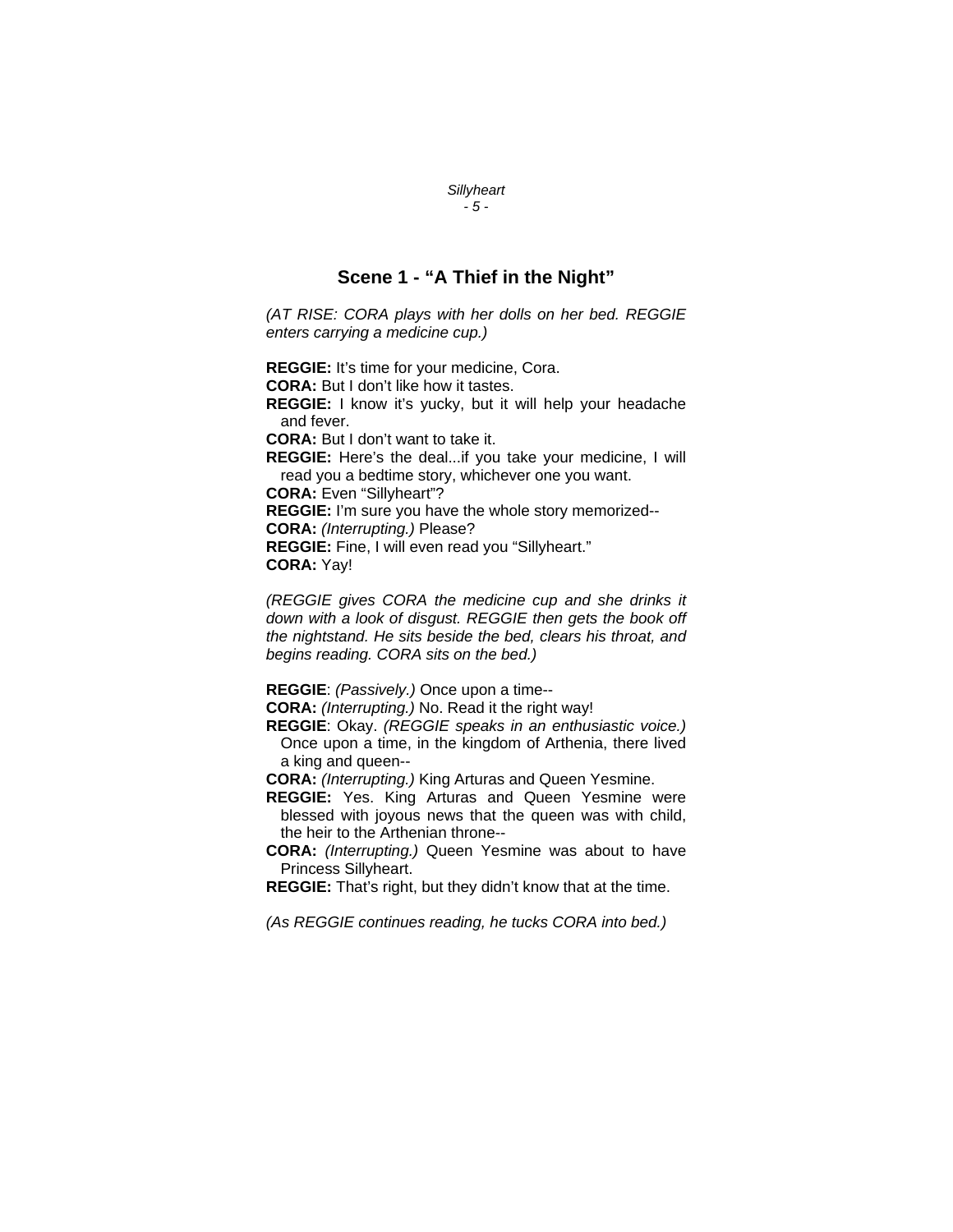## **Scene 1 - "A Thief in the Night"**

*Sillyheart - 5 -* 

*(AT RISE: CORA plays with her dolls on her bed. REGGIE enters carrying a medicine cup.)* 

**REGGIE:** It's time for your medicine, Cora.

**CORA:** But I don't like how it tastes.

**REGGIE:** I know it's yucky, but it will help your headache and fever.

**CORA:** But I don't want to take it.

**REGGIE:** Here's the deal...if you take your medicine, I will read you a bedtime story, whichever one you want.

**CORA:** Even "Sillyheart"?

**REGGIE:** I'm sure you have the whole story memorized-- **CORA:** *(Interrupting.)* Please?

**REGGIE:** Fine, I will even read you "Sillyheart." **CORA:** Yay!

*(REGGIE gives CORA the medicine cup and she drinks it down with a look of disgust. REGGIE then gets the book off the nightstand. He sits beside the bed, clears his throat, and begins reading. CORA sits on the bed.)* 

**REGGIE**: *(Passively.)* Once upon a time--

**CORA:** *(Interrupting.)* No. Read it the right way!

**REGGIE**: Okay. *(REGGIE speaks in an enthusiastic voice.)* Once upon a time, in the kingdom of Arthenia, there lived a king and queen--

**CORA:** *(Interrupting.)* King Arturas and Queen Yesmine.

**REGGIE:** Yes. King Arturas and Queen Yesmine were blessed with joyous news that the queen was with child, the heir to the Arthenian throne--

**CORA:** *(Interrupting.)* Queen Yesmine was about to have Princess Sillyheart.

**REGGIE:** That's right, but they didn't know that at the time.

*(As REGGIE continues reading, he tucks CORA into bed.)*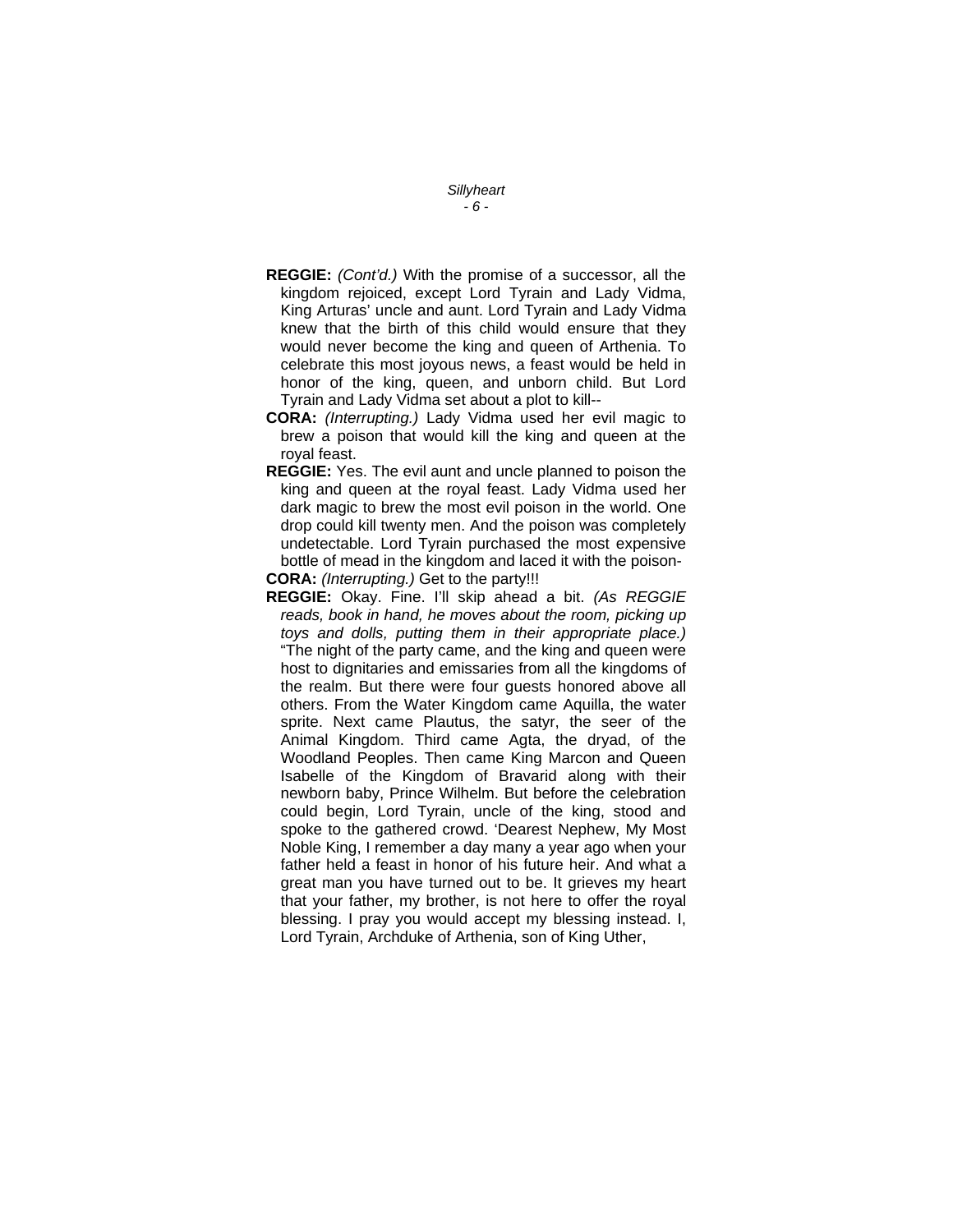*Sillyheart - 6 -* 

- **REGGIE:** *(Cont'd.)* With the promise of a successor, all the kingdom rejoiced, except Lord Tyrain and Lady Vidma, King Arturas' uncle and aunt. Lord Tyrain and Lady Vidma knew that the birth of this child would ensure that they would never become the king and queen of Arthenia. To celebrate this most joyous news, a feast would be held in honor of the king, queen, and unborn child. But Lord Tyrain and Lady Vidma set about a plot to kill--
- **CORA:** *(Interrupting.)* Lady Vidma used her evil magic to brew a poison that would kill the king and queen at the royal feast.
- **REGGIE:** Yes. The evil aunt and uncle planned to poison the king and queen at the royal feast. Lady Vidma used her dark magic to brew the most evil poison in the world. One drop could kill twenty men. And the poison was completely undetectable. Lord Tyrain purchased the most expensive bottle of mead in the kingdom and laced it with the poison-**CORA:** *(Interrupting.)* Get to the party!!!
- **REGGIE:** Okay. Fine. I'll skip ahead a bit. *(As REGGIE*
- *reads, book in hand, he moves about the room, picking up toys and dolls, putting them in their appropriate place.)* "The night of the party came, and the king and queen were host to dignitaries and emissaries from all the kingdoms of the realm. But there were four guests honored above all others. From the Water Kingdom came Aquilla, the water sprite. Next came Plautus, the satyr, the seer of the Animal Kingdom. Third came Agta, the dryad, of the Woodland Peoples. Then came King Marcon and Queen Isabelle of the Kingdom of Bravarid along with their newborn baby, Prince Wilhelm. But before the celebration could begin, Lord Tyrain, uncle of the king, stood and spoke to the gathered crowd. 'Dearest Nephew, My Most Noble King, I remember a day many a year ago when your father held a feast in honor of his future heir. And what a great man you have turned out to be. It grieves my heart that your father, my brother, is not here to offer the royal blessing. I pray you would accept my blessing instead. I, Lord Tyrain, Archduke of Arthenia, son of King Uther,